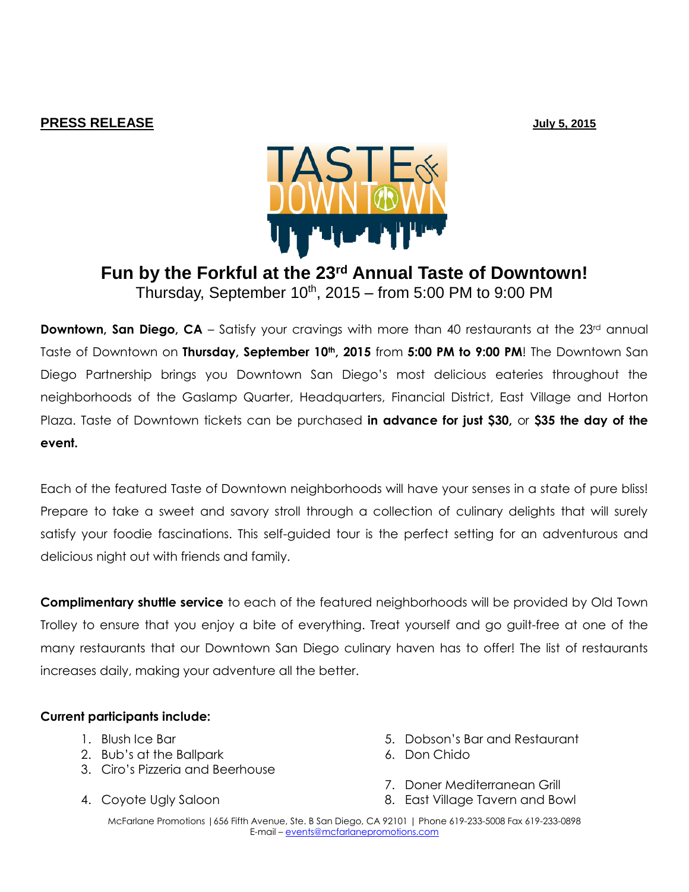## **PRESS RELEASE July 5, 2015**



## **Fun by the Forkful at the 23rd Annual Taste of Downtown!** Thursday, September  $10^{th}$ , 2015 – from 5:00 PM to 9:00 PM

**Downtown, San Diego, CA** – Satisfy your cravings with more than 40 restaurants at the 23<sup>rd</sup> annual Taste of Downtown on **Thursday, September 10th, 2015** from **5:00 PM to 9:00 PM**! The Downtown San Diego Partnership brings you Downtown San Diego's most delicious eateries throughout the neighborhoods of the Gaslamp Quarter, Headquarters, Financial District, East Village and Horton Plaza. Taste of Downtown tickets can be purchased **in advance for just \$30,** or **\$35 the day of the event.** 

Each of the featured Taste of Downtown neighborhoods will have your senses in a state of pure bliss! Prepare to take a sweet and savory stroll through a collection of culinary delights that will surely satisfy your foodie fascinations. This self-guided tour is the perfect setting for an adventurous and delicious night out with friends and family.

**Complimentary shuttle service** to each of the featured neighborhoods will be provided by Old Town Trolley to ensure that you enjoy a bite of everything. Treat yourself and go guilt-free at one of the many restaurants that our Downtown San Diego culinary haven has to offer! The list of restaurants increases daily, making your adventure all the better.

## **Current participants include:**

- 1. Blush Ice Bar
- 2. Bub's at the Ballpark
- 3. Ciro's Pizzeria and Beerhouse
- 4. Coyote Ugly Saloon
- 5. Dobson's Bar and Restaurant
- 6. Don Chido
- 7. Doner Mediterranean Grill
- 8. East Village Tavern and Bowl

McFarlane Promotions |656 Fifth Avenue, Ste. B San Diego, CA 92101 | Phone 619-233-5008 Fax 619-233-0898 E-mail – [events@mcfarlanepromotions.com](mailto:events@mcfarlanepromotions.com)